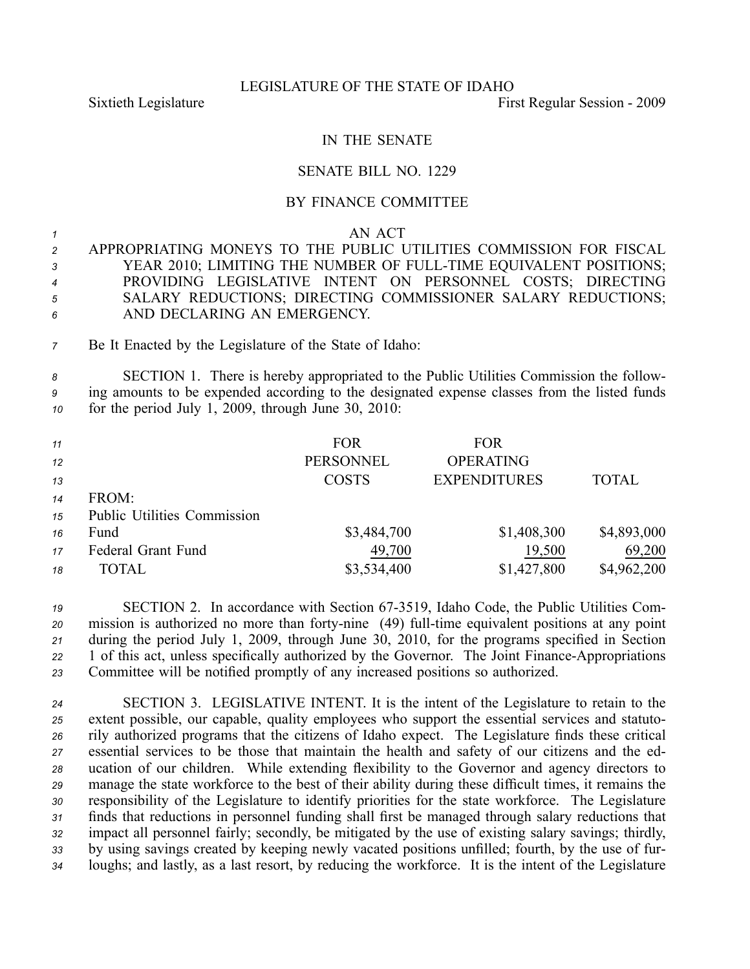### LEGISLATURE OF THE STATE OF IDAHO

Sixtieth Legislature **First** Regular Session - 2009

# IN THE SENATE

### SENATE BILL NO. 1229

## BY FINANCE COMMITTEE

#### *1* AN ACT

 APPROPRIATING MONEYS TO THE PUBLIC UTILITIES COMMISSION FOR FISCAL YEAR 2010; LIMITING THE NUMBER OF FULLTIME EQUIVALENT POSITIONS; PROVIDING LEGISLATIVE INTENT ON PERSONNEL COSTS; DIRECTING SALARY REDUCTIONS; DIRECTING COMMISSIONER SALARY REDUCTIONS; AND DECLARING AN EMERGENCY.

*<sup>7</sup>* Be It Enacted by the Legislature of the State of Idaho:

*<sup>8</sup>* SECTION 1. There is hereby appropriated to the Public Utilities Commission the follow-*<sup>9</sup>* ing amounts to be expended according to the designated expense classes from the listed funds *<sup>10</sup>* for the period July 1, 2009, through June 30, 2010:

| 11 |                                    | <b>FOR</b>       | <b>FOR</b>          |              |
|----|------------------------------------|------------------|---------------------|--------------|
| 12 |                                    | <b>PERSONNEL</b> | <b>OPERATING</b>    |              |
| 13 |                                    | <b>COSTS</b>     | <b>EXPENDITURES</b> | <b>TOTAL</b> |
| 14 | FROM:                              |                  |                     |              |
| 15 | <b>Public Utilities Commission</b> |                  |                     |              |
| 16 | Fund                               | \$3,484,700      | \$1,408,300         | \$4,893,000  |
| 17 | Federal Grant Fund                 | 49,700           | 19,500              | 69,200       |
| 18 | TOTAL                              | \$3,534,400      | \$1,427,800         | \$4,962,200  |

 SECTION 2. In accordance with Section 673519, Idaho Code, the Public Utilities Com- mission is authorized no more than forty-nine (49) full-time equivalent positions at any point during the period July 1, 2009, through June 30, 2010, for the programs specified in Section 22 1 of this act, unless specifically authorized by the Governor. The Joint Finance-Appropriations Committee will be notified promptly of any increased positions so authorized.

 SECTION 3. LEGISLATIVE INTENT. It is the intent of the Legislature to retain to the extent possible, our capable, quality employees who suppor<sup>t</sup> the essential services and statuto- rily authorized programs that the citizens of Idaho expect. The Legislature finds these critical essential services to be those that maintain the health and safety of our citizens and the ed- ucation of our children. While extending flexibility to the Governor and agency directors to manage the state workforce to the best of their ability during these difficult times, it remains the responsibility of the Legislature to identify priorities for the state workforce. The Legislature finds that reductions in personnel funding shall first be managed through salary reductions that impact all personnel fairly; secondly, be mitigated by the use of existing salary savings; thirdly, by using savings created by keeping newly vacated positions unfilled; fourth, by the use of fur-loughs; and lastly, as <sup>a</sup> last resort, by reducing the workforce. It is the intent of the Legislature